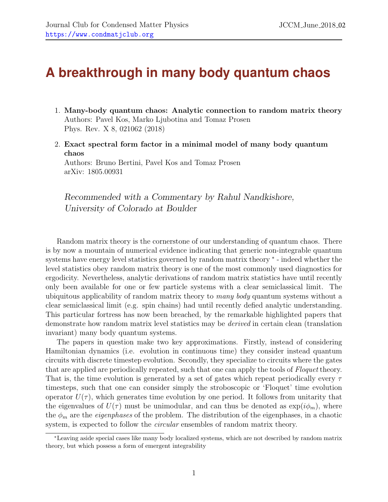## **A breakthrough in many body quantum chaos**

- 1. Many-body quantum chaos: Analytic connection to random matrix theory Authors: Pavel Kos, Marko Ljubotina and Tomaz Prosen Phys. Rev. X 8, 021062 (2018)
- 2. Exact spectral form factor in a minimal model of many body quantum chaos Authors: Bruno Bertini, Pavel Kos and Tomaz Prosen arXiv: 1805.00931

Recommended with a Commentary by Rahul Nandkishore, University of Colorado at Boulder

Random matrix theory is the cornerstone of our understanding of quantum chaos. There is by now a mountain of numerical evidence indicating that generic non-integrable quantum systems have energy level statistics governed by random matrix theory  $*$  - indeed whether the level statistics obey random matrix theory is one of the most commonly used diagnostics for ergodicity. Nevertheless, analytic derivations of random matrix statistics have until recently only been available for one or few particle systems with a clear semiclassical limit. The ubiquitous applicability of random matrix theory to many body quantum systems without a clear semiclassical limit (e.g. spin chains) had until recently defied analytic understanding. This particular fortress has now been breached, by the remarkable highlighted papers that demonstrate how random matrix level statistics may be derived in certain clean (translation invariant) many body quantum systems.

The papers in question make two key approximations. Firstly, instead of considering Hamiltonian dynamics (i.e. evolution in continuous time) they consider instead quantum circuits with discrete timestep evolution. Secondly, they specialize to circuits where the gates that are applied are periodically repeated, such that one can apply the tools of Floquet theory. That is, the time evolution is generated by a set of gates which repeat periodically every  $\tau$ timesteps, such that one can consider simply the stroboscopic or 'Floquet' time evolution operator  $U(\tau)$ , which generates time evolution by one period. It follows from unitarity that the eigenvalues of  $U(\tau)$  must be unimodular, and can thus be denoted as  $\exp(i\phi_m)$ , where the  $\phi_m$  are the *eigenphases* of the problem. The distribution of the eigenphases, in a chaotic system, is expected to follow the *circular* ensembles of random matrix theory.

<span id="page-0-0"></span><sup>∗</sup>Leaving aside special cases like many body localized systems, which are not described by random matrix theory, but which possess a form of emergent integrability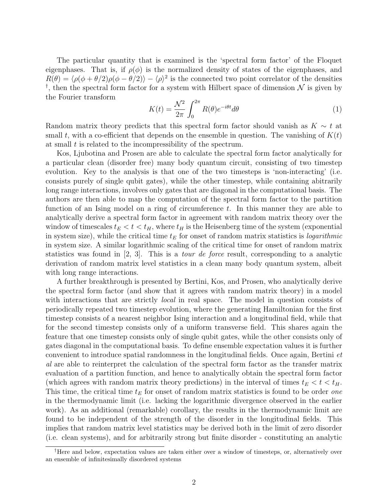The particular quantity that is examined is the 'spectral form factor' of the Floquet eigenphases. That is, if  $\rho(\phi)$  is the normalized density of states of the eigenphases, and  $R(\theta) = \langle \rho(\phi + \theta/2)\rho(\phi - \theta/2)\rangle - \langle \rho \rangle^2$  is the connected two point correlator of the densities <sup>[†](#page-1-0)</sup>, then the spectral form factor for a system with Hilbert space of dimension  $\mathcal N$  is given by the Fourier transform

$$
K(t) = \frac{\mathcal{N}^2}{2\pi} \int_0^{2\pi} R(\theta) e^{-i\theta t} d\theta \tag{1}
$$

Random matrix theory predicts that this spectral form factor should vanish as  $K \sim t$  at small t, with a co-efficient that depends on the ensemble in question. The vanishing of  $K(t)$ at small  $t$  is related to the incompressibility of the spectrum.

Kos, Ljubotina and Prosen are able to calculate the spectral form factor analytically for a particular clean (disorder free) many body quantum circuit, consisting of two timestep evolution. Key to the analysis is that one of the two timesteps is 'non-interacting' (i.e. consists purely of single qubit gates), while the other timestep, while containing abitrarily long range interactions, involves only gates that are diagonal in the computational basis. The authors are then able to map the computation of the spectral form factor to the partition function of an Ising model on a ring of circumference  $t$ . In this manner they are able to analytically derive a spectral form factor in agreement with random matrix theory over the window of timescales  $t_E < t < t_H$ , where  $t_H$  is the Heisenberg time of the system (exponential in system size), while the critical time  $t_E$  for onset of random matrix statistics is *logarithmic* in system size. A similar logarithmic scaling of the critical time for onset of random matrix statistics was found in  $[2, 3]$  $[2, 3]$  $[2, 3]$ . This is a *tour de force* result, corresponding to a analytic derivation of random matrix level statistics in a clean many body quantum system, albeit with long range interactions.

A further breakthrough is presented by Bertini, Kos, and Prosen, who analytically derive the spectral form factor (and show that it agrees with random matrix theory) in a model with interactions that are strictly *local* in real space. The model in question consists of periodically repeated two timestep evolution, where the generating Hamiltonian for the first timestep consists of a nearest neighbor Ising interaction and a longitudinal field, while that for the second timestep consists only of a uniform transverse field. This shares again the feature that one timestep consists only of single qubit gates, while the other consists only of gates diagonal in the computational basis. To define ensemble expectation values it is further convenient to introduce spatial randomness in the longitudinal fields. Once again, Bertini et al are able to reinterpret the calculation of the spectral form factor as the transfer matrix evaluation of a partition function, and hence to analytically obtain the spectral form factor (which agrees with random matrix theory predictions) in the interval of times  $t_E < t < t_H$ . This time, the critical time  $t_E$  for onset of random matrix statistics is found to be order *one* in the thermodynamic limit (i.e. lacking the logarithmic divergence observed in the earlier work). As an additional (remarkable) corollary, the results in the thermodynamic limit are found to be independent of the strength of the disorder in the longitudinal fields. This implies that random matrix level statistics may be derived both in the limit of zero disorder (i.e. clean systems), and for arbitrarily strong but finite disorder - constituting an analytic

<span id="page-1-0"></span><sup>†</sup>Here and below, expectation values are taken either over a window of timesteps, or, alternatively over an ensemble of infinitesimally disordered systems